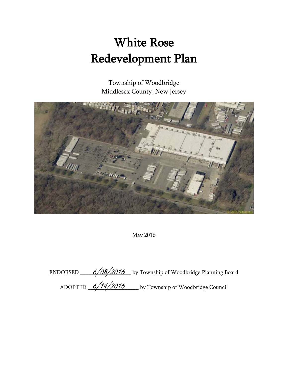# White Rose Redevelopment Plan

Township of Woodbridge Middlesex County, New Jersey



May 2016

ENDORSED \_\_\_\_\_*6/08/2016* \_\_ by Township of Woodbridge Planning Board ADOPTED <u>6/14/2016</u> by Township of Woodbridge Council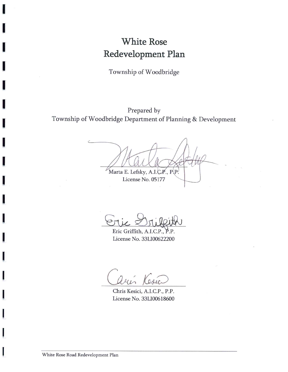# **White Rose** Redevelopment Plan

Township of Woodbridge

# Prepared by Township of Woodbridge Department of Planning & Development

Marta E. Lefsky, A.I.C.P., P.P.

License No. 05177

Eric Griffith, A License No. 33LI00622200

Oser

Chris Kesici, A.I.C.P., P.P. License No. 33LI00618600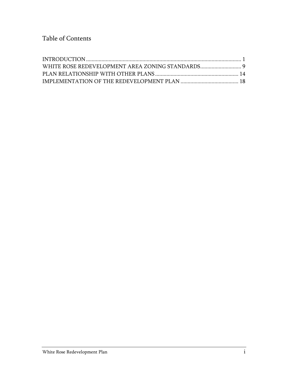Table of Contents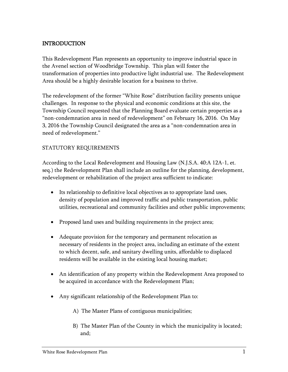# <span id="page-3-0"></span>INTRODUCTION

This Redevelopment Plan represents an opportunity to improve industrial space in the Avenel section of Woodbridge Township. This plan will foster the transformation of properties into productive light industrial use. The Redevelopment Area should be a highly desirable location for a business to thrive.

The redevelopment of the former "White Rose" distribution facility presents unique challenges. In response to the physical and economic conditions at this site, the Township Council requested that the Planning Board evaluate certain properties as a "non-condemnation area in need of redevelopment" on February 16, 2016. On May 3, 2016 the Township Council designated the area as a "non-condemnation area in need of redevelopment."

#### STATUTORY REQUIREMENTS

According to the Local Redevelopment and Housing Law (N.J.S.A. 40:A 12A-1, et. seq.) the Redevelopment Plan shall include an outline for the planning, development, redevelopment or rehabilitation of the project area sufficient to indicate:

- Its relationship to definitive local objectives as to appropriate land uses, density of population and improved traffic and public transportation, public utilities, recreational and community facilities and other public improvements;
- Proposed land uses and building requirements in the project area;
- Adequate provision for the temporary and permanent relocation as necessary of residents in the project area, including an estimate of the extent to which decent, safe, and sanitary dwelling units, affordable to displaced residents will be available in the existing local housing market;
- An identification of any property within the Redevelopment Area proposed to be acquired in accordance with the Redevelopment Plan;
- Any significant relationship of the Redevelopment Plan to:
	- A) The Master Plans of contiguous municipalities;
	- B) The Master Plan of the County in which the municipality is located; and;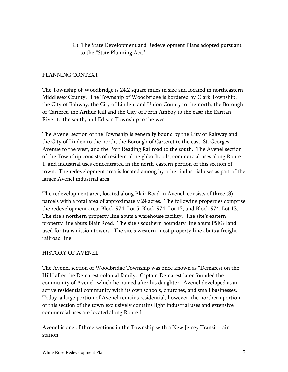C) The State Development and Redevelopment Plans adopted pursuant to the "State Planning Act."

# PLANNING CONTEXT

The Township of Woodbridge is 24.2 square miles in size and located in northeastern Middlesex County. The Township of Woodbridge is bordered by Clark Township, the City of Rahway, the City of Linden, and Union County to the north; the Borough of Carteret, the Arthur Kill and the City of Perth Amboy to the east; the Raritan River to the south; and Edison Township to the west.

The Avenel section of the Township is generally bound by the City of Rahway and the City of Linden to the north, the Borough of Carteret to the east, St. Georges Avenue to the west, and the Port Reading Railroad to the south. The Avenel section of the Township consists of residential neighborhoods, commercial uses along Route 1, and industrial uses concentrated in the north-eastern portion of this section of town. The redevelopment area is located among by other industrial uses as part of the larger Avenel industrial area.

The redevelopment area, located along Blair Road in Avenel, consists of three (3) parcels with a total area of approximately 24 acres. The following properties comprise the redevelopment area: Block 974, Lot 5; Block 974, Lot 12, and Block 974, Lot 13. The site's northern property line abuts a warehouse facility. The site's eastern property line abuts Blair Road. The site's southern boundary line abuts PSEG land used for transmission towers. The site's western-most property line abuts a freight railroad line.

# HISTORY OF AVENEL

The Avenel section of Woodbridge Township was once known as "Demarest on the Hill" after the Demarest colonial family. Captain Demarest later founded the community of Avenel, which he named after his daughter. Avenel developed as an active residential community with its own schools, churches, and small businesses. Today, a large portion of Avenel remains residential, however, the northern portion of this section of the town exclusively contains light industrial uses and extensive commercial uses are located along Route 1.

Avenel is one of three sections in the Township with a New Jersey Transit train station.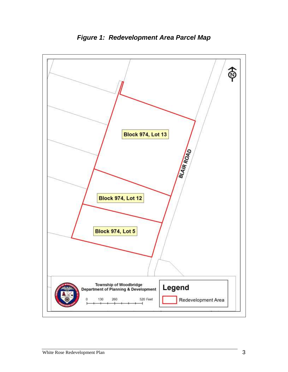

*Figure 1: Redevelopment Area Parcel Map*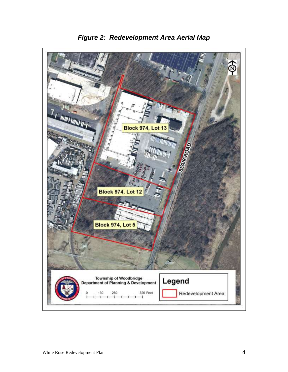

*Figure 2: Redevelopment Area Aerial Map*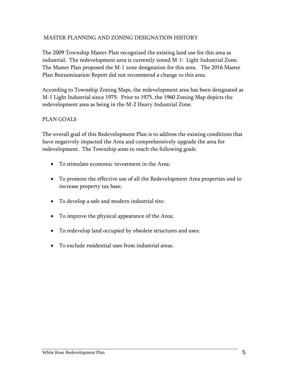# MASTER PLANNING AND ZONING DESIGNATION HISTORY

The 2009 Township Master Plan recognized the existing land use for this area as industrial. The redevelopment area is currently zoned M-1: Light Industrial Zone. The Master Plan proposed the M-1 zone designation for this area. The 2016 Master Plan Reexamination Report did not recommend a change to this area.

According to Township Zoning Maps, the redevelopment area has been designated as M-1 Light Industrial since 1975. Prior to 1975, the 1960 Zoning Map depicts the redevelopment area as being in the M-2 Heavy Industrial Zone.

# PLAN GOALS

The overall goal of this Redevelopment Plan is to address the existing conditions that have negatively impacted the Area and comprehensively upgrade the area for redevelopment. The Township aims to reach the following goals:

- To stimulate economic investment in the Area;
- To promote the effective use of all the Redevelopment Area properties and to increase property tax base;
- To develop a safe and modern industrial site;
- To improve the physical appearance of the Area;
- To redevelop land occupied by obsolete structures and uses;
- To exclude residential uses from industrial areas.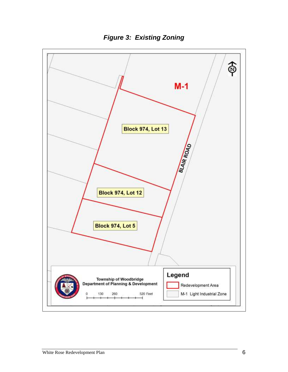

*Figure 3: Existing Zoning*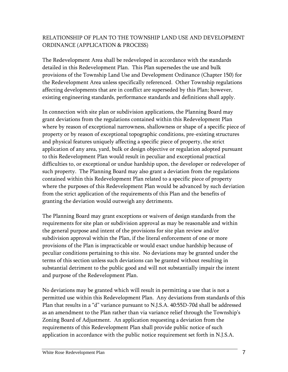# RELATIONSHIP OF PLAN TO THE TOWNSHIP LAND USE AND DEVELOPMENT ORDINANCE (APPLICATION & PROCESS)

The Redevelopment Area shall be redeveloped in accordance with the standards detailed in this Redevelopment Plan. This Plan supersedes the use and bulk provisions of the Township Land Use and Development Ordinance (Chapter 150) for the Redevelopment Area unless specifically referenced. Other Township regulations affecting developments that are in conflict are superseded by this Plan; however, existing engineering standards, performance standards and definitions shall apply.

In connection with site plan or subdivision applications, the Planning Board may grant deviations from the regulations contained within this Redevelopment Plan where by reason of exceptional narrowness, shallowness or shape of a specific piece of property or by reason of exceptional topographic conditions, pre-existing structures and physical features uniquely affecting a specific piece of property, the strict application of any area, yard, bulk or design objective or regulation adopted pursuant to this Redevelopment Plan would result in peculiar and exceptional practical difficulties to, or exceptional or undue hardship upon, the developer or redeveloper of such property. The Planning Board may also grant a deviation from the regulations contained within this Redevelopment Plan related to a specific piece of property where the purposes of this Redevelopment Plan would be advanced by such deviation from the strict application of the requirements of this Plan and the benefits of granting the deviation would outweigh any detriments.

The Planning Board may grant exceptions or waivers of design standards from the requirements for site plan or subdivision approval as may be reasonable and within the general purpose and intent of the provisions for site plan review and/or subdivision approval within the Plan, if the literal enforcement of one or more provisions of the Plan is impracticable or would exact undue hardship because of peculiar conditions pertaining to this site. No deviations may be granted under the terms of this section unless such deviations can be granted without resulting in substantial detriment to the public good and will not substantially impair the intent and purpose of the Redevelopment Plan.

No deviations may be granted which will result in permitting a use that is not a permitted use within this Redevelopment Plan. Any deviations from standards of this Plan that results in a "d" variance pursuant to N.J.S.A. 40:55D-70d shall be addressed as an amendment to the Plan rather than via variance relief through the Township's Zoning Board of Adjustment. An application requesting a deviation from the requirements of this Redevelopment Plan shall provide public notice of such application in accordance with the public notice requirement set forth in N.J.S.A.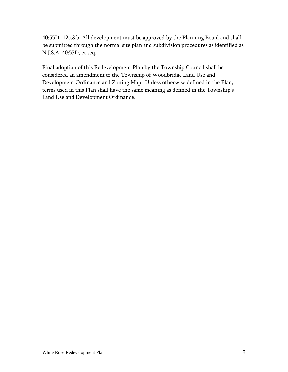40:55D- 12a.&b. All development must be approved by the Planning Board and shall be submitted through the normal site plan and subdivision procedures as identified as N.J.S.A. 40:55D, et seq.

Final adoption of this Redevelopment Plan by the Township Council shall be considered an amendment to the Township of Woodbridge Land Use and Development Ordinance and Zoning Map. Unless otherwise defined in the Plan, terms used in this Plan shall have the same meaning as defined in the Township's Land Use and Development Ordinance.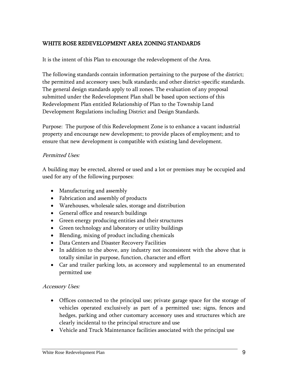# <span id="page-11-0"></span>WHITE ROSE REDEVELOPMENT AREA ZONING STANDARDS

It is the intent of this Plan to encourage the redevelopment of the Area.

The following standards contain information pertaining to the purpose of the district; the permitted and accessory uses; bulk standards; and other district-specific standards. The general design standards apply to all zones. The evaluation of any proposal submitted under the Redevelopment Plan shall be based upon sections of this Redevelopment Plan entitled Relationship of Plan to the Township Land Development Regulations including District and Design Standards.

Purpose: The purpose of this Redevelopment Zone is to enhance a vacant industrial property and encourage new development; to provide places of employment; and to ensure that new development is compatible with existing land development.

#### Permitted Uses:

A building may be erected, altered or used and a lot or premises may be occupied and used for any of the following purposes:

- Manufacturing and assembly
- Fabrication and assembly of products
- Warehouses, wholesale sales, storage and distribution
- General office and research buildings
- Green energy producing entities and their structures
- Green technology and laboratory or utility buildings
- Blending, mixing of product including chemicals
- Data Centers and Disaster Recovery Facilities
- In addition to the above, any industry not inconsistent with the above that is totally similar in purpose, function, character and effort
- Car and trailer parking lots, as accessory and supplemental to an enumerated permitted use

#### Accessory Uses:

- Offices connected to the principal use; private garage space for the storage of vehicles operated exclusively as part of a permitted use; signs, fences and hedges, parking and other customary accessory uses and structures which are clearly incidental to the principal structure and use
- Vehicle and Truck Maintenance facilities associated with the principal use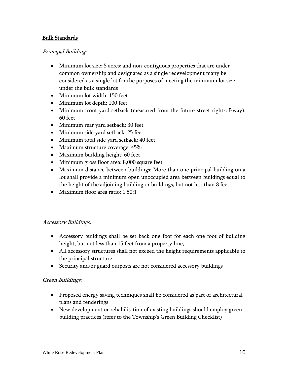# Bulk Standards

# Principal Building:

- Minimum lot size: 5 acres; and non-contiguous properties that are under common ownership and designated as a single redevelopment many be considered as a single lot for the purposes of meeting the minimum lot size under the bulk standards
- Minimum lot width: 150 feet
- Minimum lot depth: 100 feet
- Minimum front yard setback (measured from the future street right-of-way): 60 feet
- Minimum rear yard setback: 30 feet
- Minimum side yard setback: 25 feet
- Minimum total side yard setback: 40 feet
- Maximum structure coverage:  $45\%$
- Maximum building height: 60 feet
- Minimum gross floor area: 8,000 square feet
- Maximum distance between buildings: More than one principal building on a lot shall provide a minimum open unoccupied area between buildings equal to the height of the adjoining building or buildings, but not less than 8 feet.
- Maximum floor area ratio: 1.50:1

#### Accessory Buildings:

- Accessory buildings shall be set back one foot for each one foot of building height, but not less than 15 feet from a property line,
- All accessory structures shall not exceed the height requirements applicable to the principal structure
- Security and/or guard outposts are not considered accessory buildings

#### Green Buildings:

- Proposed energy saving techniques shall be considered as part of architectural plans and renderings
- New development or rehabilitation of existing buildings should employ green building practices (refer to the Township's Green Building Checklist)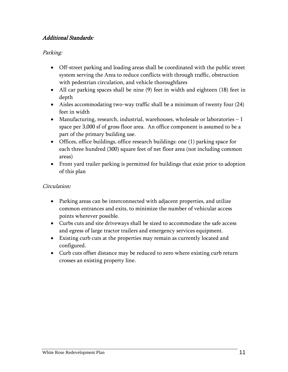# Additional Standards:

# Parking:

- Off-street parking and loading areas shall be coordinated with the public street system serving the Area to reduce conflicts with through traffic, obstruction with pedestrian circulation, and vehicle thoroughfares
- All car parking spaces shall be nine (9) feet in width and eighteen (18) feet in depth
- Aisles accommodating two-way traffic shall be a minimum of twenty four (24) feet in width
- Manufacturing, research, industrial, warehouses, wholesale or laboratories 1 space per 3,000 sf of gross floor area. An office component is assumed to be a part of the primary building use.
- Offices, office buildings, office research buildings: one (1) parking space for each three hundred (300) square feet of net floor area (not including common areas)
- Front yard trailer parking is permitted for buildings that exist prior to adoption of this plan

# Circulation:

- Parking areas can be interconnected with adjacent properties, and utilize common entrances and exits, to minimize the number of vehicular access points wherever possible.
- Curbs cuts and site driveways shall be sized to accommodate the safe access and egress of large tractor trailers and emergency services equipment.
- Existing curb cuts at the properties may remain as currently located and configured.
- Curb cuts offset distance may be reduced to zero where existing curb return crosses an existing property line.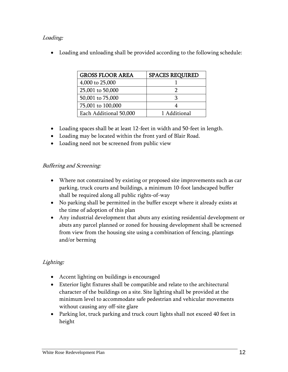# Loading:

Loading and unloading shall be provided according to the following schedule:

| <b>GROSS FLOOR AREA</b> | <b>SPACES REQUIRED</b> |
|-------------------------|------------------------|
| 4,000 to 25,000         |                        |
| 25,001 to 50,000        |                        |
| 50,001 to 75,000        |                        |
| 75,001 to 100,000       |                        |
| Each Additional 50,000  | 1 Additional           |

- Loading spaces shall be at least 12-feet in width and 50-feet in length.
- Loading may be located within the front yard of Blair Road.
- Loading need not be screened from public view

# Buffering and Screening:

- Where not constrained by existing or proposed site improvements such as car parking, truck courts and buildings, a minimum 10-foot landscaped buffer shall be required along all public rights-of-way
- No parking shall be permitted in the buffer except where it already exists at the time of adoption of this plan
- Any industrial development that abuts any existing residential development or abuts any parcel planned or zoned for housing development shall be screened from view from the housing site using a combination of fencing, plantings and/or berming

# Lighting:

- Accent lighting on buildings is encouraged
- Exterior light fixtures shall be compatible and relate to the architectural character of the buildings on a site. Site lighting shall be provided at the minimum level to accommodate safe pedestrian and vehicular movements without causing any off-site glare
- Parking lot, truck parking and truck court lights shall not exceed 40 feet in height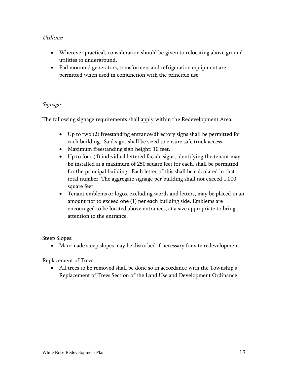# Utilities:

- Wherever practical, consideration should be given to relocating above ground utilities to underground.
- Pad mounted generators, transformers and refrigeration equipment are permitted when used in conjunction with the principle use

# Signage:

The following signage requirements shall apply within the Redevelopment Area:

- Up to two (2) freestanding entrance/directory signs shall be permitted for each building. Said signs shall be sized to ensure safe truck access.
- Maximum freestanding sign height: 10 feet.
- Up to four (4) individual lettered façade signs, identifying the tenant may be installed at a maximum of 250 square feet for each, shall be permitted for the principal building. Each letter of this shall be calculated in that total number. The aggregate signage per building shall not exceed 1,000 square feet.
- Tenant emblems or logos, excluding words and letters, may be placed in an amount not to exceed one (1) per each building side. Emblems are encouraged to be located above entrances, at a size appropriate to bring attention to the entrance.

Steep Slopes:

Man-made steep slopes may be disturbed if necessary for site redevelopment.

Replacement of Trees:

 All trees to be removed shall be done so in accordance with the Township's Replacement of Trees Section of the Land Use and Development Ordinance.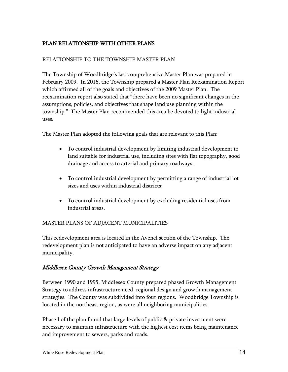# <span id="page-16-0"></span>PLAN RELATIONSHIP WITH OTHER PLANS

# RELATIONSHIP TO THE TOWNSHIP MASTER PLAN

The Township of Woodbridge's last comprehensive Master Plan was prepared in February 2009. In 2016, the Township prepared a Master Plan Reexamination Report which affirmed all of the goals and objectives of the 2009 Master Plan. The reexamination report also stated that "there have been no significant changes in the assumptions, policies, and objectives that shape land use planning within the township." The Master Plan recommended this area be devoted to light industrial uses.

The Master Plan adopted the following goals that are relevant to this Plan:

- To control industrial development by limiting industrial development to land suitable for industrial use, including sites with flat topography, good drainage and access to arterial and primary roadways;
- To control industrial development by permitting a range of industrial lot sizes and uses within industrial districts;
- To control industrial development by excluding residential uses from industrial areas.

# MASTER PLANS OF ADJACENT MUNICIPALITIES

This redevelopment area is located in the Avenel section of the Township. The redevelopment plan is not anticipated to have an adverse impact on any adjacent municipality.

# Middlesex County Growth Management Strategy

Between 1990 and 1995, Middlesex County prepared phased Growth Management Strategy to address infrastructure need, regional design and growth management strategies. The County was subdivided into four regions. Woodbridge Township is located in the northeast region, as were all neighboring municipalities.

Phase I of the plan found that large levels of public & private investment were necessary to maintain infrastructure with the highest cost items being maintenance and improvement to sewers, parks and roads.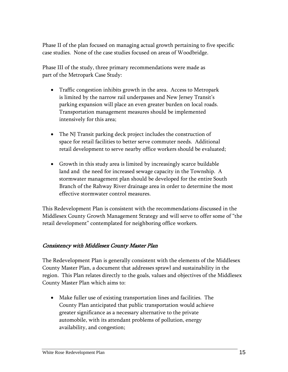Phase II of the plan focused on managing actual growth pertaining to five specific case studies. None of the case studies focused on areas of Woodbridge.

Phase III of the study, three primary recommendations were made as part of the Metropark Case Study:

- Traffic congestion inhibits growth in the area. Access to Metropark is limited by the narrow rail underpasses and New Jersey Transit's parking expansion will place an even greater burden on local roads. Transportation management measures should be implemented intensively for this area;
- The NJ Transit parking deck project includes the construction of space for retail facilities to better serve commuter needs. Additional retail development to serve nearby office workers should be evaluated;
- Growth in this study area is limited by increasingly scarce buildable land and the need for increased sewage capacity in the Township. A stormwater management plan should be developed for the entire South Branch of the Rahway River drainage area in order to determine the most effective stormwater control measures.

This Redevelopment Plan is consistent with the recommendations discussed in the Middlesex County Growth Management Strategy and will serve to offer some of "the retail development" contemplated for neighboring office workers.

# Consistency with Middlesex County Master Plan

The Redevelopment Plan is generally consistent with the elements of the Middlesex County Master Plan, a document that addresses sprawl and sustainability in the region. This Plan relates directly to the goals, values and objectives of the Middlesex County Master Plan which aims to:

 Make fuller use of existing transportation lines and facilities. The County Plan anticipated that public transportation would achieve greater significance as a necessary alternative to the private automobile, with its attendant problems of pollution, energy availability, and congestion;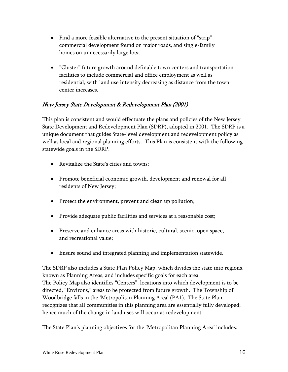- Find a more feasible alternative to the present situation of "strip" commercial development found on major roads, and single-family homes on unnecessarily large lots;
- "Cluster" future growth around definable town centers and transportation facilities to include commercial and office employment as well as residential, with land use intensity decreasing as distance from the town center increases.

# New Jersey State Development & Redevelopment Plan (2001)

This plan is consistent and would effectuate the plans and policies of the New Jersey State Development and Redevelopment Plan (SDRP), adopted in 2001. The SDRP is a unique document that guides State-level development and redevelopment policy as well as local and regional planning efforts. This Plan is consistent with the following statewide goals in the SDRP.

- Revitalize the State's cities and towns;
- Promote beneficial economic growth, development and renewal for all residents of New Jersey;
- Protect the environment, prevent and clean up pollution;
- Provide adequate public facilities and services at a reasonable cost;
- Preserve and enhance areas with historic, cultural, scenic, open space, and recreational value;
- Ensure sound and integrated planning and implementation statewide.

The SDRP also includes a State Plan Policy Map, which divides the state into regions, known as Planning Areas, and includes specific goals for each area. The Policy Map also identifies "Centers", locations into which development is to be directed, "Environs," areas to be protected from future growth. The Township of Woodbridge falls in the 'Metropolitan Planning Area' (PA1). The State Plan recognizes that all communities in this planning area are essentially fully developed; hence much of the change in land uses will occur as redevelopment.

The State Plan's planning objectives for the 'Metropolitan Planning Area' includes: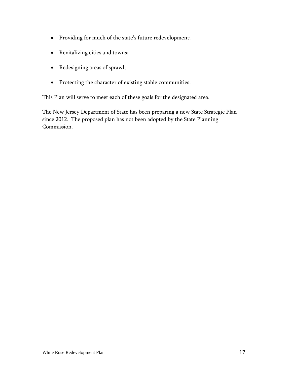- Providing for much of the state's future redevelopment;
- Revitalizing cities and towns;
- Redesigning areas of sprawl;
- Protecting the character of existing stable communities.

This Plan will serve to meet each of these goals for the designated area.

The New Jersey Department of State has been preparing a new State Strategic Plan since 2012. The proposed plan has not been adopted by the State Planning Commission.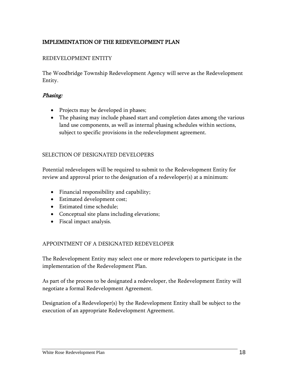# <span id="page-20-0"></span>IMPLEMENTATION OF THE REDEVELOPMENT PLAN

# REDEVELOPMENT ENTITY

The Woodbridge Township Redevelopment Agency will serve as the Redevelopment Entity.

#### Phasing:

- Projects may be developed in phases;
- The phasing may include phased start and completion dates among the various land use components, as well as internal phasing schedules within sections, subject to specific provisions in the redevelopment agreement.

#### SELECTION OF DESIGNATED DEVELOPERS

Potential redevelopers will be required to submit to the Redevelopment Entity for review and approval prior to the designation of a redeveloper(s) at a minimum:

- Financial responsibility and capability;
- Estimated development cost;
- Estimated time schedule;
- Conceptual site plans including elevations;
- Fiscal impact analysis.

# APPOINTMENT OF A DESIGNATED REDEVELOPER

The Redevelopment Entity may select one or more redevelopers to participate in the implementation of the Redevelopment Plan.

As part of the process to be designated a redeveloper, the Redevelopment Entity will negotiate a formal Redevelopment Agreement.

Designation of a Redeveloper(s) by the Redevelopment Entity shall be subject to the execution of an appropriate Redevelopment Agreement.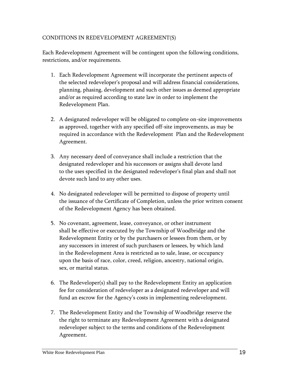# CONDITIONS IN REDEVELOPMENT AGREEMENT(S)

Each Redevelopment Agreement will be contingent upon the following conditions, restrictions, and/or requirements.

- 1. Each Redevelopment Agreement will incorporate the pertinent aspects of the selected redeveloper's proposal and will address financial considerations, planning, phasing, development and such other issues as deemed appropriate and/or as required according to state law in order to implement the Redevelopment Plan.
- 2. A designated redeveloper will be obligated to complete on-site improvements as approved, together with any specified off-site improvements, as may be required in accordance with the Redevelopment Plan and the Redevelopment Agreement.
- 3. Any necessary deed of conveyance shall include a restriction that the designated redeveloper and his successors or assigns shall devote land to the uses specified in the designated redeveloper's final plan and shall not devote such land to any other uses.
- 4. No designated redeveloper will be permitted to dispose of property until the issuance of the Certificate of Completion, unless the prior written consent of the Redevelopment Agency has been obtained.
- 5. No covenant, agreement, lease, conveyance, or other instrument shall be effective or executed by the Township of Woodbridge and the Redevelopment Entity or by the purchasers or lessees from them, or by any successors in interest of such purchasers or lessees, by which land in the Redevelopment Area is restricted as to sale, lease, or occupancy upon the basis of race, color, creed, religion, ancestry, national origin, sex, or marital status.
- 6. The Redeveloper(s) shall pay to the Redevelopment Entity an application fee for consideration of redeveloper as a designated redeveloper and will fund an escrow for the Agency's costs in implementing redevelopment.
- 7. The Redevelopment Entity and the Township of Woodbridge reserve the the right to terminate any Redevelopment Agreement with a designated redeveloper subject to the terms and conditions of the Redevelopment Agreement.